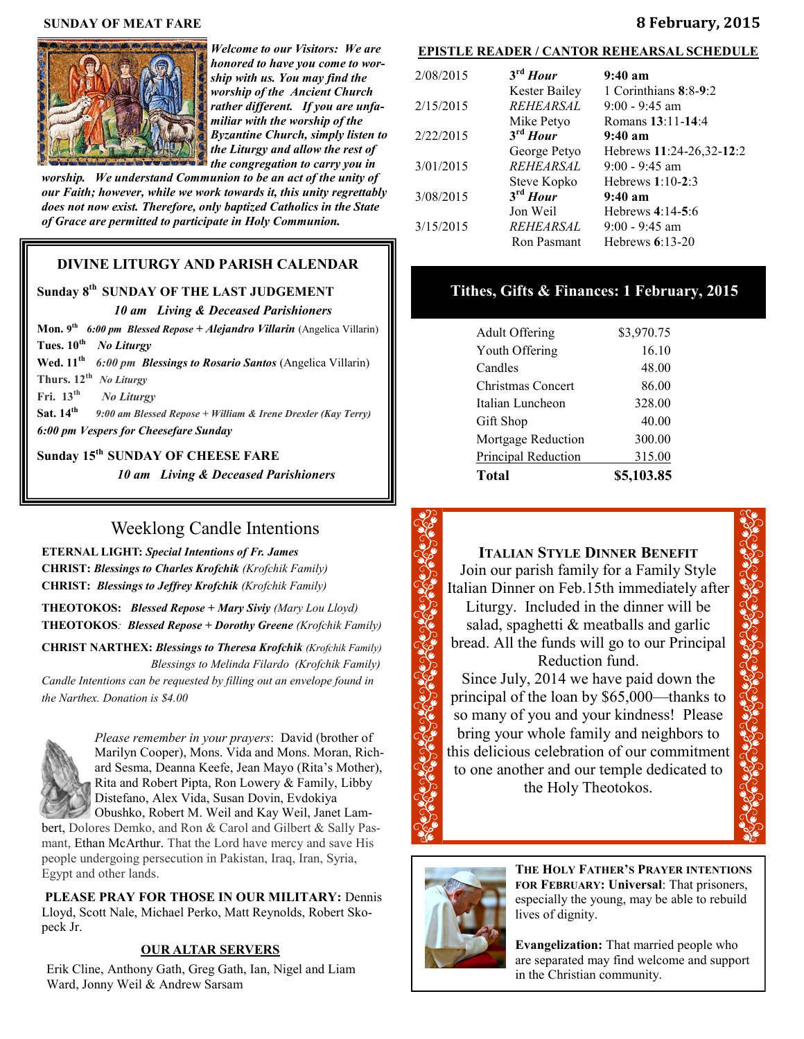#### **SUNDAY OF MEAT FARE 8 February, 2015**



*Welcome to our Visitors: We are honored to have you come to worship with us. You may find the worship of the Ancient Church rather different. If you are unfamiliar with the worship of the Byzantine Church, simply listen to the Liturgy and allow the rest of the congregation to carry you in* 

*worship. We understand Communion to be an act of the unity of our Faith; however, while we work towards it, this unity regrettably does not now exist. Therefore, only baptized Catholics in the State of Grace are permitted to participate in Holy Communion.*

## **DIVINE LITURGY AND PARISH CALENDAR**

# **Sunday 8th SUNDAY OF THE LAST JUDGEMENT**

# *10 am Living & Deceased Parishioners*

**Mon. 9 th** *6:00 pm Blessed Repose + Alejandro Villarin* (Angelica Villarin) **Tues. 10th**  *No Liturgy*

**Wed. 11th** *6:00 pm Blessings to Rosario Santos* (Angelica Villarin) Thurs.  $12^{th}$  *No Liturgy* 

**Fri. 13th** *No Liturgy*

**Sat. 14th**

*9:00 am Blessed Repose + William & Irene Drexler (Kay Terry) 6:00 pm Vespers for Cheesefare Sunday*

**Sunday 15th SUNDAY OF CHEESE FARE** *10 am Living & Deceased Parishioners* 

# Weeklong Candle Intentions

**ETERNAL LIGHT:** *Special Intentions of Fr. James*  **CHRIST:** *Blessings to Charles Krofchik (Krofchik Family)*  **CHRIST:** *Blessings to Jeffrey Krofchik (Krofchik Family)* 

**THEOTOKOS:** *Blessed Repose + Mary Siviy (Mary Lou Lloyd)*  **THEOTOKOS***: Blessed Repose + Dorothy Greene (Krofchik Family)*

**CHRIST NARTHEX:** *Blessings to Theresa Krofchik (Krofchik Family) Blessings to Melinda Filardo (Krofchik Family) Candle Intentions can be requested by filling out an envelope found in* 

*the Narthex. Donation is \$4.00*



*Please remember in your prayers*: David (brother of Marilyn Cooper), Mons. Vida and Mons. Moran, Richard Sesma, Deanna Keefe, Jean Mayo (Rita's Mother), Rita and Robert Pipta, Ron Lowery & Family, Libby Distefano, Alex Vida, Susan Dovin, Evdokiya Obushko, Robert M. Weil and Kay Weil, Janet Lam-

bert, Dolores Demko, and Ron & Carol and Gilbert & Sally Pasmant, Ethan McArthur. That the Lord have mercy and save His people undergoing persecution in Pakistan, Iraq, Iran, Syria, Egypt and other lands.

**PLEASE PRAY FOR THOSE IN OUR MILITARY:** Dennis Lloyd, Scott Nale, Michael Perko, Matt Reynolds, Robert Skopeck Jr.

#### **OUR ALTAR SERVERS**

Erik Cline, Anthony Gath, Greg Gath, Ian, Nigel and Liam Ward, Jonny Weil & Andrew Sarsam

| <b>EPISTLE READER / CANTOR REHEARSAL SCHEDULE</b> |           |                      |                          |  |
|---------------------------------------------------|-----------|----------------------|--------------------------|--|
|                                                   | 2/08/2015 | $3^{\text{rd}}$ Hour | $9:40~a$ m               |  |
|                                                   |           | Kester Bailey        | 1 Corinthians $8:8-9:2$  |  |
|                                                   | 2/15/2015 | <b>REHEARSAL</b>     | $9:00 - 9:45$ am         |  |
|                                                   |           | Mike Petyo           | Romans 13:11-14:4        |  |
|                                                   | 2/22/2015 | $3^{\text{rd}}$ Hour | $9:40~a$ m               |  |
|                                                   |           | George Petyo         | Hebrews 11:24-26,32-12:2 |  |
|                                                   | 3/01/2015 | <b>REHEARSAL</b>     | $9:00 - 9:45$ am         |  |
|                                                   |           | Steve Kopko          | Hebrews $1:10-2:3$       |  |
|                                                   | 3/08/2015 | $3rd$ Hour           | $9:40~a$ m               |  |
|                                                   |           | Jon Weil             | Hebrews $4:14-5:6$       |  |
|                                                   | 3/15/2015 | REHEARSAL            | $9:00 - 9:45$ am         |  |
|                                                   |           | Ron Pasmant          | Hebrews $6:13-20$        |  |
|                                                   |           |                      |                          |  |

# **Tithes, Gifts & Finances: 1 February, 2015**

| <b>Adult Offering</b>    | \$3,970.75 |
|--------------------------|------------|
| Youth Offering           | 16.10      |
| Candles                  | 48.00      |
| <b>Christmas Concert</b> | 86.00      |
| Italian Luncheon         | 328.00     |
| Gift Shop                | 40.00      |
| Mortgage Reduction       | 300.00     |
| Principal Reduction      | 315.00     |
| <b>Total</b>             | \$5,103.85 |

# **ITALIAN STYLE DINNER BENEFIT**

Join our parish family for a Family Style Italian Dinner on Feb.15th immediately after Liturgy. Included in the dinner will be salad, spaghetti & meatballs and garlic bread. All the funds will go to our Principal Reduction fund.

Since July, 2014 we have paid down the principal of the loan by \$65,000—thanks to so many of you and your kindness! Please bring your whole family and neighbors to this delicious celebration of our commitment to one another and our temple dedicated to the Holy Theotokos.



**THE HOLY FATHER'S PRAYER INTENTIONS FOR FEBRUARY: Universal**: That prisoners, especially the young, may be able to rebuild lives of dignity.

**Evangelization:** That married people who are separated may find welcome and support in the Christian community.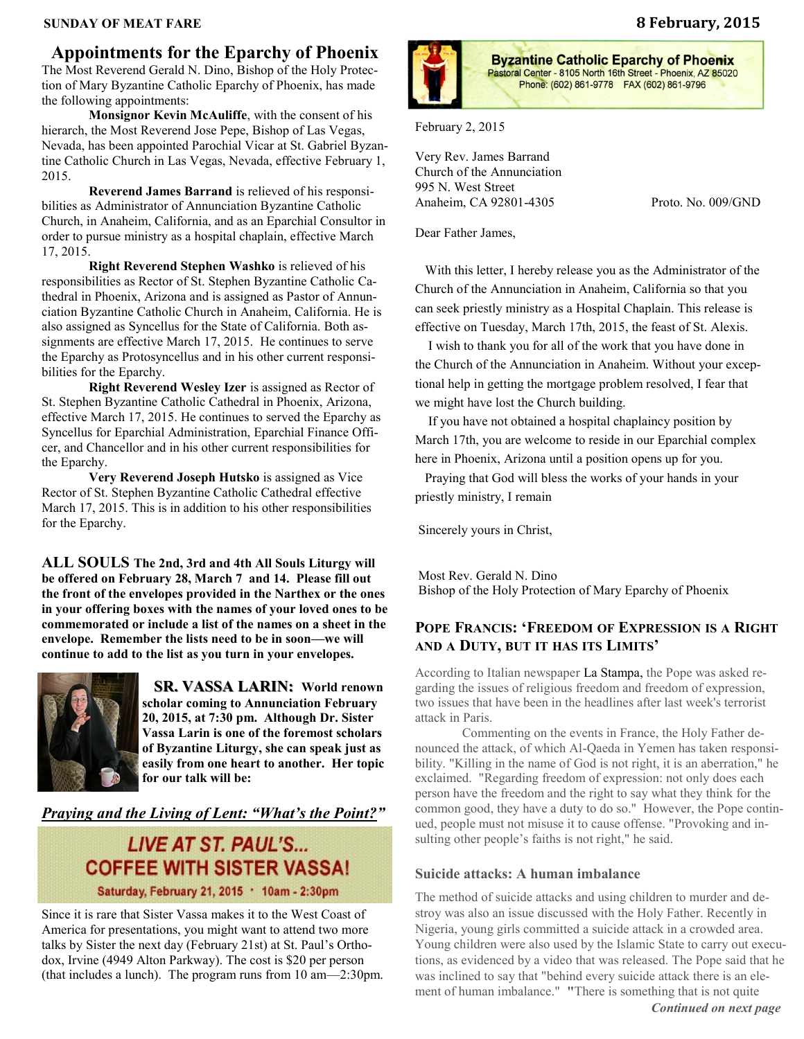#### **SUNDAY OF MEAT FARE 8 February, 2015**

# **Appointments for the Eparchy of Phoenix**

The Most Reverend Gerald N. Dino, Bishop of the Holy Protection of Mary Byzantine Catholic Eparchy of Phoenix, has made the following appointments:

**Monsignor Kevin McAuliffe**, with the consent of his hierarch, the Most Reverend Jose Pepe, Bishop of Las Vegas, Nevada, has been appointed Parochial Vicar at St. Gabriel Byzantine Catholic Church in Las Vegas, Nevada, effective February 1, 2015.

**Reverend James Barrand** is relieved of his responsibilities as Administrator of Annunciation Byzantine Catholic Church, in Anaheim, California, and as an Eparchial Consultor in order to pursue ministry as a hospital chaplain, effective March 17, 2015.

**Right Reverend Stephen Washko** is relieved of his responsibilities as Rector of St. Stephen Byzantine Catholic Cathedral in Phoenix, Arizona and is assigned as Pastor of Annunciation Byzantine Catholic Church in Anaheim, California. He is also assigned as Syncellus for the State of California. Both assignments are effective March 17, 2015. He continues to serve the Eparchy as Protosyncellus and in his other current responsibilities for the Eparchy.

**Right Reverend Wesley Izer** is assigned as Rector of St. Stephen Byzantine Catholic Cathedral in Phoenix, Arizona, effective March 17, 2015. He continues to served the Eparchy as Syncellus for Eparchial Administration, Eparchial Finance Officer, and Chancellor and in his other current responsibilities for the Eparchy.

**Very Reverend Joseph Hutsko** is assigned as Vice Rector of St. Stephen Byzantine Catholic Cathedral effective March 17, 2015. This is in addition to his other responsibilities for the Eparchy.

**ALL SOULS The 2nd, 3rd and 4th All Souls Liturgy will be offered on February 28, March 7 and 14. Please fill out the front of the envelopes provided in the Narthex or the ones in your offering boxes with the names of your loved ones to be commemorated or include a list of the names on a sheet in the envelope. Remember the lists need to be in soon—we will continue to add to the list as you turn in your envelopes.** 



 **SR. VASSA LARIN: World renown scholar coming to Annunciation February 20, 2015, at 7:30 pm. Although Dr. Sister Vassa Larin is one of the foremost scholars of Byzantine Liturgy, she can speak just as easily from one heart to another. Her topic for our talk will be:** 

## *Praying and the Living of Lent: "What's the Point?"*

# **LIVE AT ST. PAUL'S... COFFEE WITH SISTER VASSA!** Saturday, February 21, 2015 . 10am - 2:30pm

Since it is rare that Sister Vassa makes it to the West Coast of America for presentations, you might want to attend two more talks by Sister the next day (February 21st) at St. Paul's Orthodox, Irvine (4949 Alton Parkway). The cost is \$20 per person (that includes a lunch). The program runs from 10 am—2:30pm.



**Byzantine Catholic Eparchy of Phoenix** Pastoral Center - 8105 North 16th Street - Phoenix, AZ 85020 Phone: (602) 861-9778 FAX (602) 861-9796

February 2, 2015

Very Rev. James Barrand Church of the Annunciation 995 N. West Street Anaheim, CA 92801-4305 Proto. No. 009/GND

Dear Father James,

 With this letter, I hereby release you as the Administrator of the Church of the Annunciation in Anaheim, California so that you can seek priestly ministry as a Hospital Chaplain. This release is effective on Tuesday, March 17th, 2015, the feast of St. Alexis.

 I wish to thank you for all of the work that you have done in the Church of the Annunciation in Anaheim. Without your exceptional help in getting the mortgage problem resolved, I fear that we might have lost the Church building.

 If you have not obtained a hospital chaplaincy position by March 17th, you are welcome to reside in our Eparchial complex here in Phoenix, Arizona until a position opens up for you.

 Praying that God will bless the works of your hands in your priestly ministry, I remain

Sincerely yours in Christ,

Most Rev. Gerald N. Dino Bishop of the Holy Protection of Mary Eparchy of Phoenix

## **POPE FRANCIS: 'FREEDOM OF EXPRESSION IS A RIGHT AND A DUTY, BUT IT HAS ITS LIMITS'**

According to Italian newspaper [La Stampa,](http://www.lastampa.it/2015/01/15/esteri/papa-francesco-arriva-nelle-filippine-WWimKfYYQderIrQPMpMYtK/pagina.html) the Pope was asked regarding the issues of religious freedom and freedom of expression, two issues that have been in the headlines after last week's terrorist attack in Paris.

Commenting on the events in France, the Holy Father denounced the attack, of which Al-Qaeda in Yemen has taken responsibility. "Killing in the name of God is not right, it is an aberration," he exclaimed. "Regarding freedom of expression: not only does each person have the freedom and the right to say what they think for the common good, they have a duty to do so." However, the Pope continued, people must not misuse it to cause offense. "Provoking and insulting other people's faiths is not right," he said.

### **Suicide attacks: A human imbalance**

The method of suicide attacks and using children to murder and destroy was also an issue discussed with the Holy Father. Recently in Nigeria, young girls committed a suicide attack in a crowded area. Young children were also used by the Islamic State to carry out executions, as evidenced by a video that was released. The Pope said that he was inclined to say that "behind every suicide attack there is an element of human imbalance." **"**There is something that is not quite *Continued on next page*